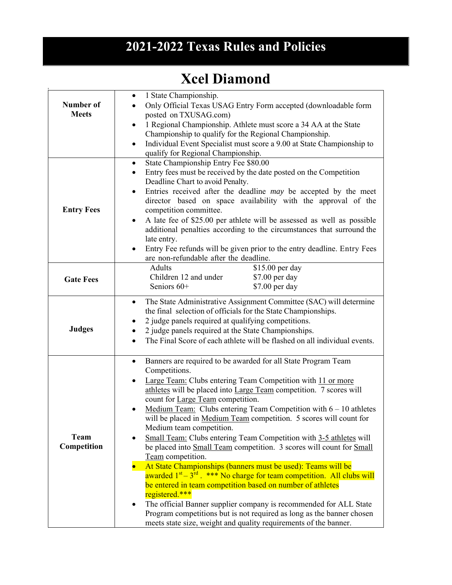## **2021-2022 Texas Rules and Policies**

## **Xcel Diamond**

| Number of<br><b>Meets</b> | 1 State Championship.<br>٠<br>Only Official Texas USAG Entry Form accepted (downloadable form<br>posted on TXUSAG.com)<br>1 Regional Championship. Athlete must score a 34 AA at the State<br>$\bullet$<br>Championship to qualify for the Regional Championship.<br>Individual Event Specialist must score a 9.00 at State Championship to<br>$\bullet$<br>qualify for Regional Championship.                                                                                                                                                                                                                                                                                                                                                                                                                                                                                                                                                                                                                                                                                                                                                   |
|---------------------------|--------------------------------------------------------------------------------------------------------------------------------------------------------------------------------------------------------------------------------------------------------------------------------------------------------------------------------------------------------------------------------------------------------------------------------------------------------------------------------------------------------------------------------------------------------------------------------------------------------------------------------------------------------------------------------------------------------------------------------------------------------------------------------------------------------------------------------------------------------------------------------------------------------------------------------------------------------------------------------------------------------------------------------------------------------------------------------------------------------------------------------------------------|
| <b>Entry Fees</b>         | State Championship Entry Fee \$80.00<br>$\bullet$<br>Entry fees must be received by the date posted on the Competition<br>$\bullet$<br>Deadline Chart to avoid Penalty.<br>Entries received after the deadline may be accepted by the meet<br>٠<br>director based on space availability with the approval of the<br>competition committee.<br>A late fee of \$25.00 per athlete will be assessed as well as possible<br>$\bullet$<br>additional penalties according to the circumstances that surround the<br>late entry.<br>Entry Fee refunds will be given prior to the entry deadline. Entry Fees<br>are non-refundable after the deadline.                                                                                                                                                                                                                                                                                                                                                                                                                                                                                                   |
| <b>Gate Fees</b>          | \$15.00 per day<br>Adults<br>Children 12 and under<br>\$7.00 per day<br>\$7.00 per day<br>Seniors 60+                                                                                                                                                                                                                                                                                                                                                                                                                                                                                                                                                                                                                                                                                                                                                                                                                                                                                                                                                                                                                                            |
| <b>Judges</b>             | The State Administrative Assignment Committee (SAC) will determine<br>$\bullet$<br>the final selection of officials for the State Championships.<br>2 judge panels required at qualifying competitions.<br>2 judge panels required at the State Championships.<br>The Final Score of each athlete will be flashed on all individual events.                                                                                                                                                                                                                                                                                                                                                                                                                                                                                                                                                                                                                                                                                                                                                                                                      |
| Team<br>Competition       | Banners are required to be awarded for all State Program Team<br>$\bullet$<br>Competitions.<br>Large Team: Clubs entering Team Competition with 11 or more<br>$\bullet$<br>athletes will be placed into Large Team competition. 7 scores will<br>count for Large Team competition.<br>Medium Team: Clubs entering Team Competition with $6 - 10$ athletes<br>will be placed in <u>Medium Team</u> competition. 5 scores will count for<br>Medium team competition.<br>Small Team: Clubs entering Team Competition with 3-5 athletes will<br>$\bullet$<br>be placed into Small Team competition. 3 scores will count for Small<br>Team competition.<br>At State Championships (banners must be used): Teams will be<br>$\bullet$<br>awarded 1 <sup>st</sup> – 3 <sup>rd</sup> . *** No charge for team competition. All clubs will<br>be entered in team competition based on number of athletes<br>registered.***<br>The official Banner supplier company is recommended for ALL State<br>$\bullet$<br>Program competitions but is not required as long as the banner chosen<br>meets state size, weight and quality requirements of the banner. |